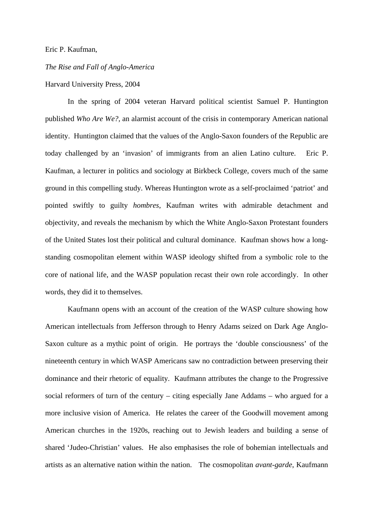## Eric P. Kaufman,

## *The Rise and Fall of Anglo-America*

## Harvard University Press, 2004

 In the spring of 2004 veteran Harvard political scientist Samuel P. Huntington published *Who Are We?,* an alarmist account of the crisis in contemporary American national identity. Huntington claimed that the values of the Anglo-Saxon founders of the Republic are today challenged by an 'invasion' of immigrants from an alien Latino culture. Eric P. Kaufman, a lecturer in politics and sociology at Birkbeck College, covers much of the same ground in this compelling study. Whereas Huntington wrote as a self-proclaimed 'patriot' and pointed swiftly to guilty *hombres*, Kaufman writes with admirable detachment and objectivity, and reveals the mechanism by which the White Anglo-Saxon Protestant founders of the United States lost their political and cultural dominance. Kaufman shows how a longstanding cosmopolitan element within WASP ideology shifted from a symbolic role to the core of national life, and the WASP population recast their own role accordingly. In other words, they did it to themselves.

 Kaufmann opens with an account of the creation of the WASP culture showing how American intellectuals from Jefferson through to Henry Adams seized on Dark Age Anglo-Saxon culture as a mythic point of origin. He portrays the 'double consciousness' of the nineteenth century in which WASP Americans saw no contradiction between preserving their dominance and their rhetoric of equality. Kaufmann attributes the change to the Progressive social reformers of turn of the century – citing especially Jane Addams – who argued for a more inclusive vision of America. He relates the career of the Goodwill movement among American churches in the 1920s, reaching out to Jewish leaders and building a sense of shared 'Judeo-Christian' values. He also emphasises the role of bohemian intellectuals and artists as an alternative nation within the nation. The cosmopolitan *avant-garde*, Kaufmann